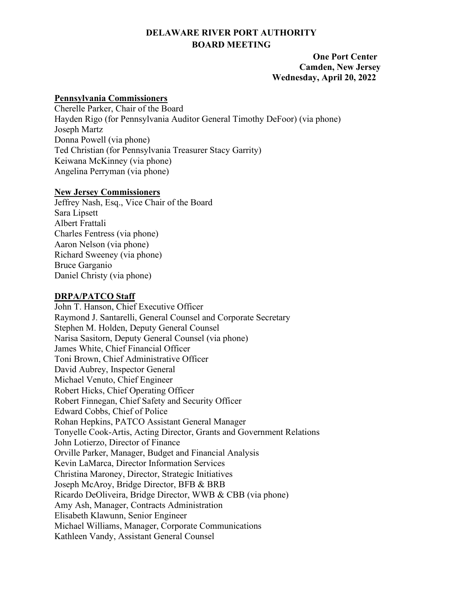# **DELAWARE RIVER PORT AUTHORITY BOARD MEETING**

### **One Port Center Camden, New Jersey Wednesday, April 20, 2022**

#### **Pennsylvania Commissioners**

Cherelle Parker, Chair of the Board Hayden Rigo (for Pennsylvania Auditor General Timothy DeFoor) (via phone) Joseph Martz Donna Powell (via phone) Ted Christian (for Pennsylvania Treasurer Stacy Garrity) Keiwana McKinney (via phone) Angelina Perryman (via phone)

#### **New Jersey Commissioners**

Jeffrey Nash, Esq., Vice Chair of the Board Sara Lipsett Albert Frattali Charles Fentress (via phone) Aaron Nelson (via phone) Richard Sweeney (via phone) Bruce Garganio Daniel Christy (via phone)

# **DRPA/PATCO Staff**

John T. Hanson, Chief Executive Officer Raymond J. Santarelli, General Counsel and Corporate Secretary Stephen M. Holden, Deputy General Counsel Narisa Sasitorn, Deputy General Counsel (via phone) James White, Chief Financial Officer Toni Brown, Chief Administrative Officer David Aubrey, Inspector General Michael Venuto, Chief Engineer Robert Hicks, Chief Operating Officer Robert Finnegan, Chief Safety and Security Officer Edward Cobbs, Chief of Police Rohan Hepkins, PATCO Assistant General Manager Tonyelle Cook-Artis, Acting Director, Grants and Government Relations John Lotierzo, Director of Finance Orville Parker, Manager, Budget and Financial Analysis Kevin LaMarca, Director Information Services Christina Maroney, Director, Strategic Initiatives Joseph McAroy, Bridge Director, BFB & BRB Ricardo DeOliveira, Bridge Director, WWB & CBB (via phone) Amy Ash, Manager, Contracts Administration Elisabeth Klawunn, Senior Engineer Michael Williams, Manager, Corporate Communications Kathleen Vandy, Assistant General Counsel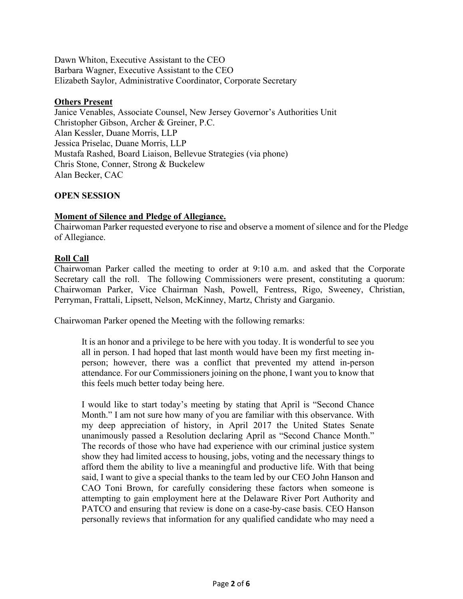Dawn Whiton, Executive Assistant to the CEO Barbara Wagner, Executive Assistant to the CEO Elizabeth Saylor, Administrative Coordinator, Corporate Secretary

### **Others Present**

Janice Venables, Associate Counsel, New Jersey Governor's Authorities Unit Christopher Gibson, Archer & Greiner, P.C. Alan Kessler, Duane Morris, LLP Jessica Priselac, Duane Morris, LLP Mustafa Rashed, Board Liaison, Bellevue Strategies (via phone) Chris Stone, Conner, Strong & Buckelew Alan Becker, CAC

### **OPEN SESSION**

#### **Moment of Silence and Pledge of Allegiance.**

Chairwoman Parker requested everyone to rise and observe a moment of silence and for the Pledge of Allegiance.

### **Roll Call**

Chairwoman Parker called the meeting to order at 9:10 a.m. and asked that the Corporate Secretary call the roll. The following Commissioners were present, constituting a quorum: Chairwoman Parker, Vice Chairman Nash, Powell, Fentress, Rigo, Sweeney, Christian, Perryman, Frattali, Lipsett, Nelson, McKinney, Martz, Christy and Garganio.

Chairwoman Parker opened the Meeting with the following remarks:

It is an honor and a privilege to be here with you today. It is wonderful to see you all in person. I had hoped that last month would have been my first meeting inperson; however, there was a conflict that prevented my attend in-person attendance. For our Commissioners joining on the phone, I want you to know that this feels much better today being here.

I would like to start today's meeting by stating that April is "Second Chance Month." I am not sure how many of you are familiar with this observance. With my deep appreciation of history, in April 2017 the United States Senate unanimously passed a Resolution declaring April as "Second Chance Month." The records of those who have had experience with our criminal justice system show they had limited access to housing, jobs, voting and the necessary things to afford them the ability to live a meaningful and productive life. With that being said, I want to give a special thanks to the team led by our CEO John Hanson and CAO Toni Brown, for carefully considering these factors when someone is attempting to gain employment here at the Delaware River Port Authority and PATCO and ensuring that review is done on a case-by-case basis. CEO Hanson personally reviews that information for any qualified candidate who may need a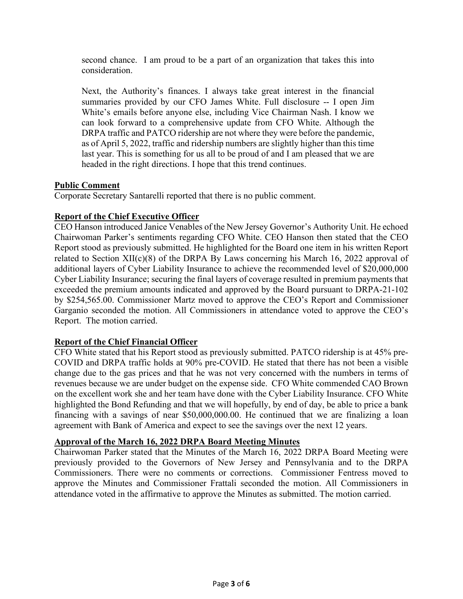second chance. I am proud to be a part of an organization that takes this into consideration.

Next, the Authority's finances. I always take great interest in the financial summaries provided by our CFO James White. Full disclosure -- I open Jim White's emails before anyone else, including Vice Chairman Nash. I know we can look forward to a comprehensive update from CFO White. Although the DRPA traffic and PATCO ridership are not where they were before the pandemic, as of April 5, 2022, traffic and ridership numbers are slightly higher than this time last year. This is something for us all to be proud of and I am pleased that we are headed in the right directions. I hope that this trend continues.

# **Public Comment**

Corporate Secretary Santarelli reported that there is no public comment.

### **Report of the Chief Executive Officer**

CEO Hanson introduced Janice Venables of the New Jersey Governor's Authority Unit. He echoed Chairwoman Parker's sentiments regarding CFO White. CEO Hanson then stated that the CEO Report stood as previously submitted. He highlighted for the Board one item in his written Report related to Section  $XII(c)(8)$  of the DRPA By Laws concerning his March 16, 2022 approval of additional layers of Cyber Liability Insurance to achieve the recommended level of \$20,000,000 Cyber Liability Insurance; securing the final layers of coverage resulted in premium payments that exceeded the premium amounts indicated and approved by the Board pursuant to DRPA-21-102 by \$254,565.00. Commissioner Martz moved to approve the CEO's Report and Commissioner Garganio seconded the motion. All Commissioners in attendance voted to approve the CEO's Report. The motion carried.

# **Report of the Chief Financial Officer**

CFO White stated that his Report stood as previously submitted. PATCO ridership is at 45% pre-COVID and DRPA traffic holds at 90% pre-COVID. He stated that there has not been a visible change due to the gas prices and that he was not very concerned with the numbers in terms of revenues because we are under budget on the expense side. CFO White commended CAO Brown on the excellent work she and her team have done with the Cyber Liability Insurance. CFO White highlighted the Bond Refunding and that we will hopefully, by end of day, be able to price a bank financing with a savings of near \$50,000,000.00. He continued that we are finalizing a loan agreement with Bank of America and expect to see the savings over the next 12 years.

### **Approval of the March 16, 2022 DRPA Board Meeting Minutes**

Chairwoman Parker stated that the Minutes of the March 16, 2022 DRPA Board Meeting were previously provided to the Governors of New Jersey and Pennsylvania and to the DRPA Commissioners. There were no comments or corrections. Commissioner Fentress moved to approve the Minutes and Commissioner Frattali seconded the motion. All Commissioners in attendance voted in the affirmative to approve the Minutes as submitted. The motion carried.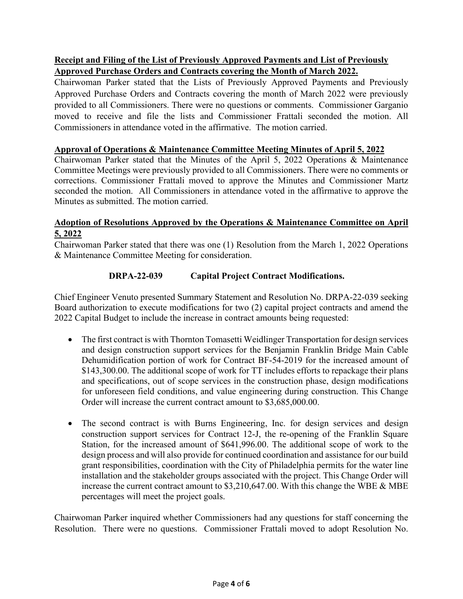# **Receipt and Filing of the List of Previously Approved Payments and List of Previously Approved Purchase Orders and Contracts covering the Month of March 2022.**

Chairwoman Parker stated that the Lists of Previously Approved Payments and Previously Approved Purchase Orders and Contracts covering the month of March 2022 were previously provided to all Commissioners. There were no questions or comments. Commissioner Garganio moved to receive and file the lists and Commissioner Frattali seconded the motion. All Commissioners in attendance voted in the affirmative. The motion carried.

## **Approval of Operations & Maintenance Committee Meeting Minutes of April 5, 2022**

Chairwoman Parker stated that the Minutes of the April 5, 2022 Operations & Maintenance Committee Meetings were previously provided to all Commissioners. There were no comments or corrections. Commissioner Frattali moved to approve the Minutes and Commissioner Martz seconded the motion. All Commissioners in attendance voted in the affirmative to approve the Minutes as submitted. The motion carried.

# **Adoption of Resolutions Approved by the Operations & Maintenance Committee on April 5, 2022**

Chairwoman Parker stated that there was one (1) Resolution from the March 1, 2022 Operations & Maintenance Committee Meeting for consideration.

# **DRPA-22-039 Capital Project Contract Modifications.**

Chief Engineer Venuto presented Summary Statement and Resolution No. DRPA-22-039 seeking Board authorization to execute modifications for two (2) capital project contracts and amend the 2022 Capital Budget to include the increase in contract amounts being requested:

- The first contract is with Thornton Tomasetti Weidlinger Transportation for design services and design construction support services for the Benjamin Franklin Bridge Main Cable Dehumidification portion of work for Contract BF-54-2019 for the increased amount of \$143,300.00. The additional scope of work for TT includes efforts to repackage their plans and specifications, out of scope services in the construction phase, design modifications for unforeseen field conditions, and value engineering during construction. This Change Order will increase the current contract amount to \$3,685,000.00.
- The second contract is with Burns Engineering, Inc. for design services and design construction support services for Contract 12-J, the re-opening of the Franklin Square Station, for the increased amount of \$641,996.00. The additional scope of work to the design process and will also provide for continued coordination and assistance for our build grant responsibilities, coordination with the City of Philadelphia permits for the water line installation and the stakeholder groups associated with the project. This Change Order will increase the current contract amount to \$3,210,647.00. With this change the WBE & MBE percentages will meet the project goals.

Chairwoman Parker inquired whether Commissioners had any questions for staff concerning the Resolution. There were no questions. Commissioner Frattali moved to adopt Resolution No.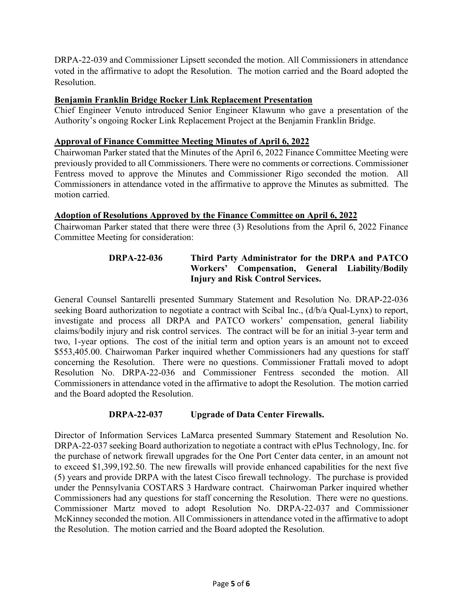DRPA-22-039 and Commissioner Lipsett seconded the motion. All Commissioners in attendance voted in the affirmative to adopt the Resolution. The motion carried and the Board adopted the Resolution.

### **Benjamin Franklin Bridge Rocker Link Replacement Presentation**

Chief Engineer Venuto introduced Senior Engineer Klawunn who gave a presentation of the Authority's ongoing Rocker Link Replacement Project at the Benjamin Franklin Bridge.

#### **Approval of Finance Committee Meeting Minutes of April 6, 2022**

Chairwoman Parker stated that the Minutes of the April 6, 2022 Finance Committee Meeting were previously provided to all Commissioners. There were no comments or corrections. Commissioner Fentress moved to approve the Minutes and Commissioner Rigo seconded the motion. All Commissioners in attendance voted in the affirmative to approve the Minutes as submitted. The motion carried.

### **Adoption of Resolutions Approved by the Finance Committee on April 6, 2022**

Chairwoman Parker stated that there were three (3) Resolutions from the April 6, 2022 Finance Committee Meeting for consideration:

# **DRPA-22-036 Third Party Administrator for the DRPA and PATCO Workers' Compensation, General Liability/Bodily Injury and Risk Control Services.**

General Counsel Santarelli presented Summary Statement and Resolution No. DRAP-22-036 seeking Board authorization to negotiate a contract with Scibal Inc., (d/b/a Qual-Lynx) to report, investigate and process all DRPA and PATCO workers' compensation, general liability claims/bodily injury and risk control services. The contract will be for an initial 3-year term and two, 1-year options. The cost of the initial term and option years is an amount not to exceed \$553,405.00. Chairwoman Parker inquired whether Commissioners had any questions for staff concerning the Resolution. There were no questions. Commissioner Frattali moved to adopt Resolution No. DRPA-22-036 and Commissioner Fentress seconded the motion. All Commissioners in attendance voted in the affirmative to adopt the Resolution. The motion carried and the Board adopted the Resolution.

### **DRPA-22-037 Upgrade of Data Center Firewalls.**

Director of Information Services LaMarca presented Summary Statement and Resolution No. DRPA-22-037 seeking Board authorization to negotiate a contract with ePlus Technology, Inc. for the purchase of network firewall upgrades for the One Port Center data center, in an amount not to exceed \$1,399,192.50. The new firewalls will provide enhanced capabilities for the next five (5) years and provide DRPA with the latest Cisco firewall technology. The purchase is provided under the Pennsylvania COSTARS 3 Hardware contract. Chairwoman Parker inquired whether Commissioners had any questions for staff concerning the Resolution. There were no questions. Commissioner Martz moved to adopt Resolution No. DRPA-22-037 and Commissioner McKinney seconded the motion. All Commissioners in attendance voted in the affirmative to adopt the Resolution. The motion carried and the Board adopted the Resolution.